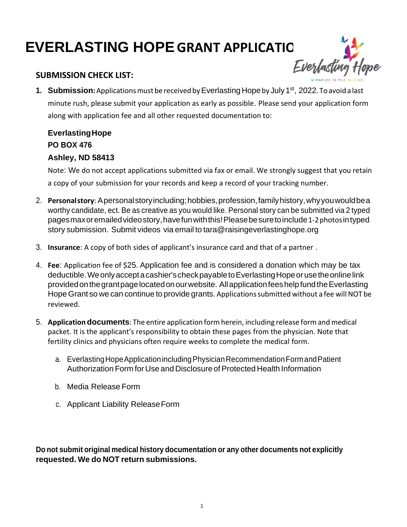# **EVERLASTING HOPE GRANT APPLICATIC**

#### **SUBMISSION CHECK LIST:**



1. Submission: Applications must be received by Everlasting Hope by July 1<sup>st</sup>, 2022. To avoid a last minute rush, please submit your application as early as possible. Please send your application form along with application fee and all other requested documentation to:

### **EverlastingHope PO BOX 476 Ashley, ND 58413**

Note: We do not accept applications submitted via fax or email. We strongly suggest that you retain a copy of your submission for your records and keep a record of your tracking number.

- 2. **Personalstory**: Apersonalstoryincluding;hobbies,profession,familyhistory,whyyouwouldbea worthy candidate, ect. Be as creative as you would like. Personal story can be submitted via 2 typed pagesmaxoremailedvideostory,havefunwiththis!Pleasebesuretoinclude1-2photosintyped story submission. Submit videos via email to [tara@raisingeverlastinghope.org](mailto:tara@raisingeverlastinghope.org)
- 3. **Insurance**: A copy of both sides of applicant's insurance card and that of a partner .
- 4. **Fee**: Application fee of \$25. Application fee and is considered a donation which may be tax deductible.Weonlyacceptacashier'scheckpayabletoEverlastingHopeorusetheonlinelink providedonthegrantpagelocatedonourwebsite. AllapplicationfeeshelpfundtheEverlasting Hope Grant so we can continue to provide grants. Applications submitted without a fee will NOT be reviewed.
- 5. **Application documents**: The entire application form herein, including release form and medical packet. It is the applicant's responsibility to obtain these pages from the physician. Note that fertility clinics and physicians often require weeks to complete the medical form.
	- a. EverlastingHopeApplicationincludingPhysicianRecommendationFormandPatient Authorization Form for Use and Disclosure of Protected Health Information
	- b. Media Release Form
	- c. Applicant Liability ReleaseForm

**Do not submit original medical history documentation or any other documents not explicitly requested. We do NOT return submissions.**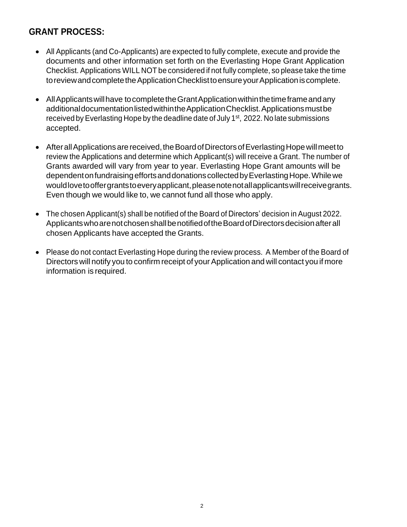### **GRANT PROCESS:**

- All Applicants (and Co-Applicants) are expected to fully complete, execute and provide the documents and other information set forth on the Everlasting Hope Grant Application Checklist. Applications WILL NOT be considered if not fully complete, so please take the time to review and complete the Application Checklist to ensure your Application is complete.
- All Applicants will have to complete the Grant Application within the time frame and any additionaldocumentationlistedwithintheApplicationChecklist.Applicationsmustbe received by Everlasting Hope by the deadline date of July 1<sup>st</sup>, 2022. No late submissions accepted.
- After all Applications are received, the Board of Directors of Everlasting Hope will meet to review the Applications and determine which Applicant(s) will receive a Grant. The number of Grants awarded will vary from year to year. Everlasting Hope Grant amounts will be dependent on fundraising efforts and donations collected by Everlasting Hope. While we would love to offer grants to every applicant, please note not all applicants will receive grants. Even though we would like to, we cannot fund all those who apply.
- The chosen Applicant(s) shall be notified of the Board of Directors' decision in August 2022. ApplicantswhoarenotchosenshallbenotifiedoftheBoardofDirectorsdecisionafterall chosen Applicants have accepted the Grants.
- Please do not contact Everlasting Hope during the review process. A Member of the Board of Directors will notify you to confirm receipt of your Application and will contact you if more information is required.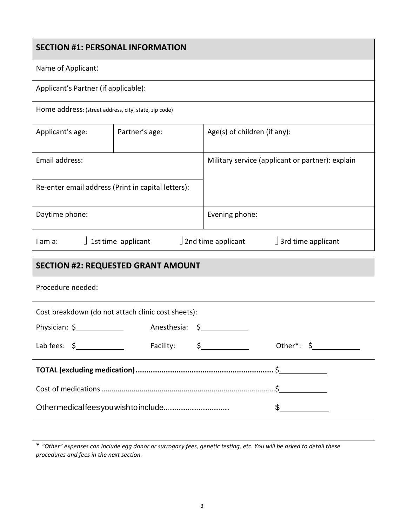#### **SECTION #1: PERSONAL INFORMATION**

#### Name of Applicant:

| Applicant's Partner (if applicable): |
|--------------------------------------|
|                                      |

Home address: (street address, city, state, zip code)

| Applicant's age:                                   | Partner's age: | Age(s) of children (if any):                     |
|----------------------------------------------------|----------------|--------------------------------------------------|
|                                                    |                |                                                  |
| Email address:                                     |                | Military service (applicant or partner): explain |
|                                                    |                |                                                  |
| Re-enter email address (Print in capital letters): |                |                                                  |
| Daytime phone:                                     |                | Evening phone:                                   |
|                                                    |                |                                                  |

I am a:  $\int$  1st time applicant  $\int$  2nd time applicant  $\int$  3rd time applicant

| <b>SECTION #2: REQUESTED GRANT AMOUNT</b>                                                                                                                                                                                         |  |                                 |                 |  |  |  |
|-----------------------------------------------------------------------------------------------------------------------------------------------------------------------------------------------------------------------------------|--|---------------------------------|-----------------|--|--|--|
| Procedure needed:                                                                                                                                                                                                                 |  |                                 |                 |  |  |  |
| Cost breakdown (do not attach clinic cost sheets):                                                                                                                                                                                |  |                                 |                 |  |  |  |
|                                                                                                                                                                                                                                   |  | Anesthesia: \$ ________________ |                 |  |  |  |
| Lab fees: $\frac{2}{3}$ 2 2 3 3 4 5 5 6 6 7 7 8 7 7 8 7 7 8 7 7 8 7 7 8 7 7 8 7 7 8 7 7 8 7 7 8 7 7 8 7 7 8 7 7 8 7 7 8 7 7 8 7 7 8 7 7 8 7 7 8 7 7 8 7 7 8 7 7 8 7 7 8 7 7 8 7 7 8 7 7 8 7 7 8 7 7 8 7 7 8 7 7 8 7 7 8 7 7 8 7 7 |  |                                 | Other*: $\oint$ |  |  |  |
|                                                                                                                                                                                                                                   |  |                                 |                 |  |  |  |
|                                                                                                                                                                                                                                   |  |                                 |                 |  |  |  |
|                                                                                                                                                                                                                                   |  | $\frac{1}{2}$                   |                 |  |  |  |
|                                                                                                                                                                                                                                   |  |                                 |                 |  |  |  |

\* *"Other" expenses can include egg donor or surrogacy fees, genetic testing, etc. You will be asked to detail these procedures and fees in the next section.*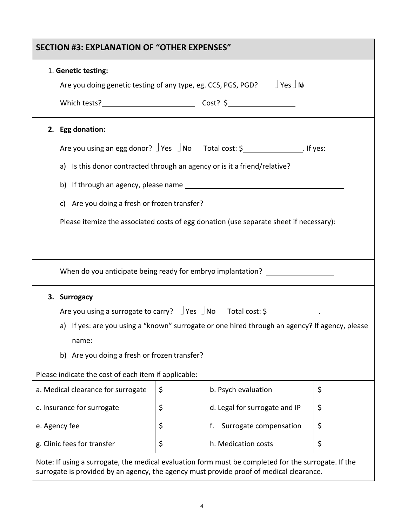| <b>SECTION #3: EXPLANATION OF "OTHER EXPENSES"</b>                                                                                                                                             |                                          |                               |  |    |  |  |  |
|------------------------------------------------------------------------------------------------------------------------------------------------------------------------------------------------|------------------------------------------|-------------------------------|--|----|--|--|--|
| 1. Genetic testing:                                                                                                                                                                            |                                          |                               |  |    |  |  |  |
| Are you doing genetic testing of any type, eg. CCS, PGS, PGD? $\Box$ Yes $\Box$ No                                                                                                             |                                          |                               |  |    |  |  |  |
|                                                                                                                                                                                                |                                          |                               |  |    |  |  |  |
| 2. Egg donation:                                                                                                                                                                               |                                          |                               |  |    |  |  |  |
| Are you using an egg donor? $\exists$ Yes $\exists$ No Total cost: \$ ______________. If yes:                                                                                                  |                                          |                               |  |    |  |  |  |
| a) Is this donor contracted through an agency or is it a friend/relative?                                                                                                                      |                                          |                               |  |    |  |  |  |
|                                                                                                                                                                                                |                                          |                               |  |    |  |  |  |
| c) Are you doing a fresh or frozen transfer? ___________________________________                                                                                                               |                                          |                               |  |    |  |  |  |
| Please itemize the associated costs of egg donation (use separate sheet if necessary):                                                                                                         |                                          |                               |  |    |  |  |  |
|                                                                                                                                                                                                |                                          |                               |  |    |  |  |  |
|                                                                                                                                                                                                |                                          |                               |  |    |  |  |  |
| When do you anticipate being ready for embryo implantation? ____________________                                                                                                               |                                          |                               |  |    |  |  |  |
| 3. Surrogacy                                                                                                                                                                                   |                                          |                               |  |    |  |  |  |
| Are you using a surrogate to carry? $\Box$ Yes $\Box$ No Total cost: \$                                                                                                                        |                                          |                               |  |    |  |  |  |
| a) If yes: are you using a "known" surrogate or one hired through an agency? If agency, please                                                                                                 |                                          |                               |  |    |  |  |  |
| name:                                                                                                                                                                                          |                                          |                               |  |    |  |  |  |
| b) Are you doing a fresh or frozen transfer?                                                                                                                                                   |                                          |                               |  |    |  |  |  |
| Please indicate the cost of each item if applicable:                                                                                                                                           |                                          |                               |  |    |  |  |  |
| a. Medical clearance for surrogate                                                                                                                                                             | \$                                       | b. Psych evaluation           |  | \$ |  |  |  |
| c. Insurance for surrogate                                                                                                                                                                     | \$                                       | d. Legal for surrogate and IP |  | \$ |  |  |  |
| e. Agency fee                                                                                                                                                                                  | \$<br>\$<br>Surrogate compensation<br>f. |                               |  |    |  |  |  |
| g. Clinic fees for transfer                                                                                                                                                                    | \$<br>\$<br>h. Medication costs          |                               |  |    |  |  |  |
| Note: If using a surrogate, the medical evaluation form must be completed for the surrogate. If the<br>surrogate is provided by an agency, the agency must provide proof of medical clearance. |                                          |                               |  |    |  |  |  |

4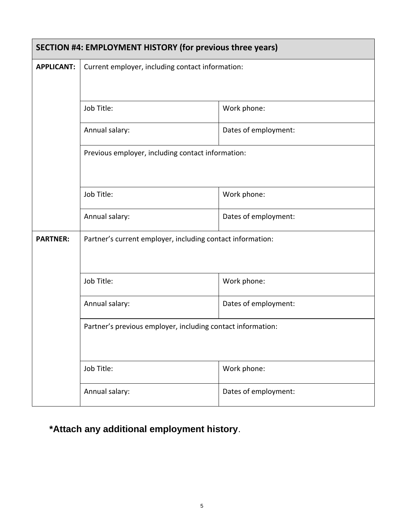| SECTION #4: EMPLOYMENT HISTORY (for previous three years)   |                                                            |                      |  |  |  |  |
|-------------------------------------------------------------|------------------------------------------------------------|----------------------|--|--|--|--|
| <b>APPLICANT:</b>                                           | Current employer, including contact information:           |                      |  |  |  |  |
|                                                             | Work phone:<br>Job Title:                                  |                      |  |  |  |  |
|                                                             | Dates of employment:<br>Annual salary:                     |                      |  |  |  |  |
|                                                             | Previous employer, including contact information:          |                      |  |  |  |  |
|                                                             | Job Title:<br>Work phone:                                  |                      |  |  |  |  |
|                                                             | Annual salary:                                             | Dates of employment: |  |  |  |  |
| <b>PARTNER:</b>                                             | Partner's current employer, including contact information: |                      |  |  |  |  |
|                                                             | Job Title:                                                 | Work phone:          |  |  |  |  |
|                                                             | Annual salary:                                             | Dates of employment: |  |  |  |  |
| Partner's previous employer, including contact information: |                                                            |                      |  |  |  |  |
|                                                             | Job Title:                                                 | Work phone:          |  |  |  |  |
|                                                             | Annual salary:                                             | Dates of employment: |  |  |  |  |

# **\*Attach any additional employment history**.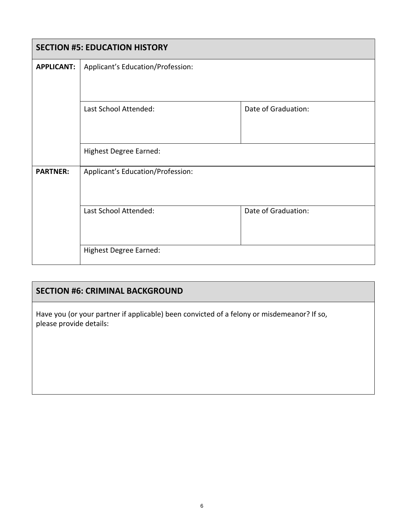|                   | <b>SECTION #5: EDUCATION HISTORY</b>         |                     |  |  |  |  |  |
|-------------------|----------------------------------------------|---------------------|--|--|--|--|--|
| <b>APPLICANT:</b> | Applicant's Education/Profession:            |                     |  |  |  |  |  |
|                   |                                              |                     |  |  |  |  |  |
|                   | Last School Attended:                        | Date of Graduation: |  |  |  |  |  |
|                   |                                              |                     |  |  |  |  |  |
|                   | <b>Highest Degree Earned:</b>                |                     |  |  |  |  |  |
| <b>PARTNER:</b>   | Applicant's Education/Profession:            |                     |  |  |  |  |  |
|                   |                                              |                     |  |  |  |  |  |
|                   | Last School Attended:<br>Date of Graduation: |                     |  |  |  |  |  |
|                   |                                              |                     |  |  |  |  |  |
|                   | <b>Highest Degree Earned:</b>                |                     |  |  |  |  |  |

### **SECTION #6: CRIMINAL BACKGROUND**

Have you (or your partner if applicable) been convicted of a felony or misdemeanor? If so, please provide details: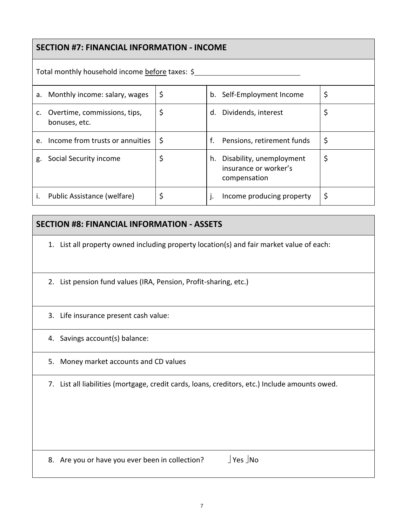### **SECTION #7: FINANCIAL INFORMATION - INCOME**

|         | Total monthly household income before taxes: \$  |    |    |                                                                   |    |  |
|---------|--------------------------------------------------|----|----|-------------------------------------------------------------------|----|--|
|         | a. Monthly income: salary, wages                 | \$ |    | b. Self-Employment Income                                         | \$ |  |
|         | c. Overtime, commissions, tips,<br>bonuses, etc. | \$ | d. | Dividends, interest                                               | \$ |  |
| $e_{1}$ | Income from trusts or annuities                  | \$ | f. | Pensions, retirement funds                                        | \$ |  |
| g.      | Social Security income                           | \$ | h. | Disability, unemployment<br>insurance or worker's<br>compensation | \$ |  |
|         | Public Assistance (welfare)                      | \$ |    | Income producing property                                         | \$ |  |

#### **SECTION #8: FINANCIAL INFORMATION - ASSETS**

1. List all property owned including property location(s) and fair market value of each:

- 2. List pension fund values (IRA, Pension, Profit-sharing, etc.)
- 3. Life insurance present cash value:
- 4. Savings account(s) balance:
- 5. Money market accounts and CD values
- 7. List all liabilities (mortgage, credit cards, loans, creditors, etc.) Include amounts owed.

8. Are you or have you ever been in collection?  $\Box$  Yes  $\Box$  No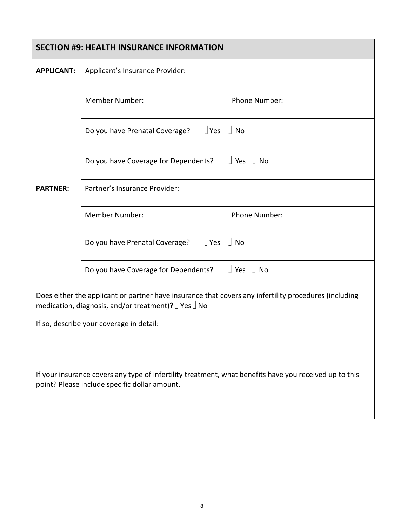|                                                                                                                                                         | <b>SECTION #9: HEALTH INSURANCE INFORMATION</b>                                                                                                                                       |                        |  |  |  |  |
|---------------------------------------------------------------------------------------------------------------------------------------------------------|---------------------------------------------------------------------------------------------------------------------------------------------------------------------------------------|------------------------|--|--|--|--|
| <b>APPLICANT:</b>                                                                                                                                       | Applicant's Insurance Provider:                                                                                                                                                       |                        |  |  |  |  |
|                                                                                                                                                         | <b>Member Number:</b>                                                                                                                                                                 | Phone Number:          |  |  |  |  |
|                                                                                                                                                         | Do you have Prenatal Coverage? JYes J No                                                                                                                                              |                        |  |  |  |  |
|                                                                                                                                                         | Do you have Coverage for Dependents?                                                                                                                                                  | $\vert$ Yes $\vert$ No |  |  |  |  |
| <b>PARTNER:</b>                                                                                                                                         | Partner's Insurance Provider:                                                                                                                                                         |                        |  |  |  |  |
|                                                                                                                                                         | <b>Member Number:</b>                                                                                                                                                                 | Phone Number:          |  |  |  |  |
|                                                                                                                                                         | Do you have Prenatal Coverage? $\Box$ Yes                                                                                                                                             | No                     |  |  |  |  |
|                                                                                                                                                         | Do you have Coverage for Dependents?                                                                                                                                                  | Yes   No               |  |  |  |  |
|                                                                                                                                                         | Does either the applicant or partner have insurance that covers any infertility procedures (including<br>medication, diagnosis, and/or treatment)? $\frac{1}{2}$ Yes $\frac{1}{2}$ No |                        |  |  |  |  |
| If so, describe your coverage in detail:                                                                                                                |                                                                                                                                                                                       |                        |  |  |  |  |
| If your insurance covers any type of infertility treatment, what benefits have you received up to this<br>point? Please include specific dollar amount. |                                                                                                                                                                                       |                        |  |  |  |  |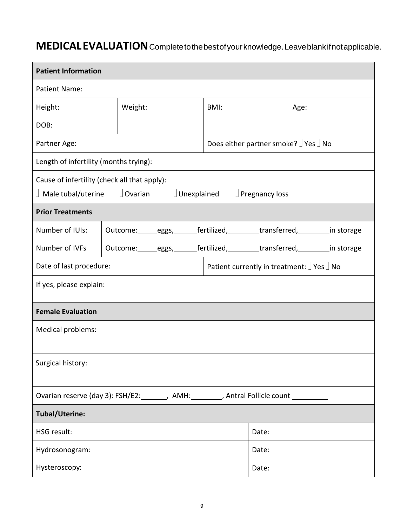## **MEDICALEVALUATION**Completetothebestofyourknowledge.Leaveblankifnotapplicable.

| <b>Patient Information</b>                                                               |       |         |  |  |                                                               |                                                    |      |  |
|------------------------------------------------------------------------------------------|-------|---------|--|--|---------------------------------------------------------------|----------------------------------------------------|------|--|
| <b>Patient Name:</b>                                                                     |       |         |  |  |                                                               |                                                    |      |  |
| Height:                                                                                  |       | Weight: |  |  | BMI:                                                          |                                                    | Age: |  |
| DOB:                                                                                     |       |         |  |  |                                                               |                                                    |      |  |
| Partner Age:                                                                             |       |         |  |  | Does either partner smoke? $\frac{1}{2}$ Yes $\frac{1}{2}$ No |                                                    |      |  |
| Length of infertility (months trying):                                                   |       |         |  |  |                                                               |                                                    |      |  |
| Cause of infertility (check all that apply):                                             |       |         |  |  |                                                               |                                                    |      |  |
| $\perp$ Male tubal/uterine $\qquad$ J Ovarian                                            |       |         |  |  | $\Box$ Unexplained $\Box$ Pregnancy loss                      |                                                    |      |  |
| <b>Prior Treatments</b>                                                                  |       |         |  |  |                                                               |                                                    |      |  |
| Number of IUIs:                                                                          |       |         |  |  | Outcome: eggs, fertilized, transferred, in storage            |                                                    |      |  |
| Number of IVFs                                                                           |       |         |  |  |                                                               | Outcome: eggs, fertilized, transferred, in storage |      |  |
| Date of last procedure:                                                                  |       |         |  |  | Patient currently in treatment: JYes JNo                      |                                                    |      |  |
| If yes, please explain:                                                                  |       |         |  |  |                                                               |                                                    |      |  |
| <b>Female Evaluation</b>                                                                 |       |         |  |  |                                                               |                                                    |      |  |
| Medical problems:                                                                        |       |         |  |  |                                                               |                                                    |      |  |
| Surgical history:                                                                        |       |         |  |  |                                                               |                                                    |      |  |
| Ovarian reserve (day 3): FSH/E2:________, AMH:_________, Antral Follicle count _________ |       |         |  |  |                                                               |                                                    |      |  |
| <b>Tubal/Uterine:</b>                                                                    |       |         |  |  |                                                               |                                                    |      |  |
| <b>HSG result:</b>                                                                       | Date: |         |  |  |                                                               |                                                    |      |  |
| Hydrosonogram:                                                                           |       |         |  |  |                                                               | Date:                                              |      |  |
| Hysteroscopy:                                                                            |       |         |  |  |                                                               | Date:                                              |      |  |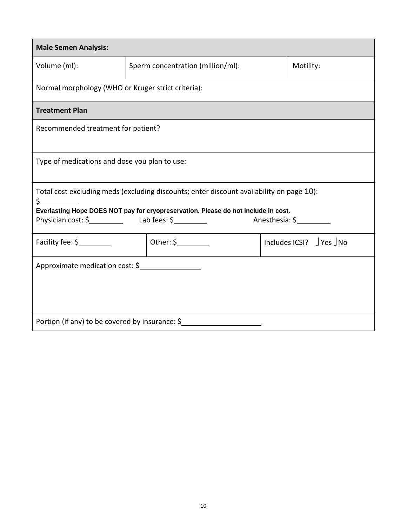| <b>Male Semen Analysis:</b>                                                                                                                                                           |                                                |  |                                       |  |  |  |
|---------------------------------------------------------------------------------------------------------------------------------------------------------------------------------------|------------------------------------------------|--|---------------------------------------|--|--|--|
| Volume (ml):                                                                                                                                                                          | Sperm concentration (million/ml):<br>Motility: |  |                                       |  |  |  |
| Normal morphology (WHO or Kruger strict criteria):                                                                                                                                    |                                                |  |                                       |  |  |  |
| <b>Treatment Plan</b>                                                                                                                                                                 |                                                |  |                                       |  |  |  |
| Recommended treatment for patient?                                                                                                                                                    |                                                |  |                                       |  |  |  |
| Type of medications and dose you plan to use:                                                                                                                                         |                                                |  |                                       |  |  |  |
| Total cost excluding meds (excluding discounts; enter discount availability on page 10):<br>\$.<br>Everlasting Hope DOES NOT pay for cryopreservation. Please do not include in cost. |                                                |  |                                       |  |  |  |
|                                                                                                                                                                                       |                                                |  | Anesthesia: \$                        |  |  |  |
| Facility fee: \$                                                                                                                                                                      | Other: $\frac{1}{2}$                           |  | Includes ICSI? $\vert$ Yes $\vert$ No |  |  |  |
| Approximate medication cost: \$                                                                                                                                                       |                                                |  |                                       |  |  |  |
| Portion (if any) to be covered by insurance: \$                                                                                                                                       |                                                |  |                                       |  |  |  |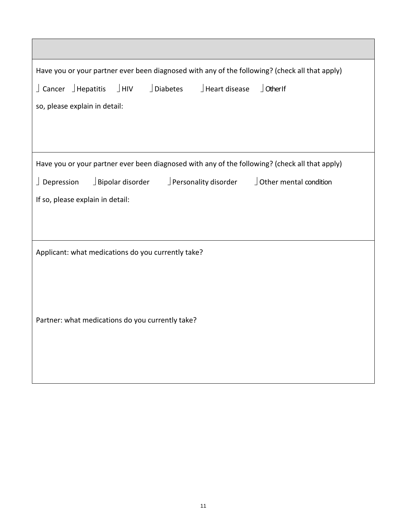| Have you or your partner ever been diagnosed with any of the following? (check all that apply)               |  |  |  |  |  |  |
|--------------------------------------------------------------------------------------------------------------|--|--|--|--|--|--|
| $\int$ Cancer $\int$ Hepatitis<br>$\perp$ HIV<br>$\Box$ Diabetes<br>$\vert$ Heart disease<br>$\int$ Other If |  |  |  |  |  |  |
| so, please explain in detail:                                                                                |  |  |  |  |  |  |
|                                                                                                              |  |  |  |  |  |  |
|                                                                                                              |  |  |  |  |  |  |
| Have you or your partner ever been diagnosed with any of the following? (check all that apply)               |  |  |  |  |  |  |
| $\Box$ Bipolar disorder $\Box$ Personality disorder<br>J Other mental condition<br>$\Box$ Depression         |  |  |  |  |  |  |
| If so, please explain in detail:                                                                             |  |  |  |  |  |  |
|                                                                                                              |  |  |  |  |  |  |
|                                                                                                              |  |  |  |  |  |  |
| Applicant: what medications do you currently take?                                                           |  |  |  |  |  |  |
|                                                                                                              |  |  |  |  |  |  |
|                                                                                                              |  |  |  |  |  |  |
| Partner: what medications do you currently take?                                                             |  |  |  |  |  |  |
|                                                                                                              |  |  |  |  |  |  |
|                                                                                                              |  |  |  |  |  |  |
|                                                                                                              |  |  |  |  |  |  |
|                                                                                                              |  |  |  |  |  |  |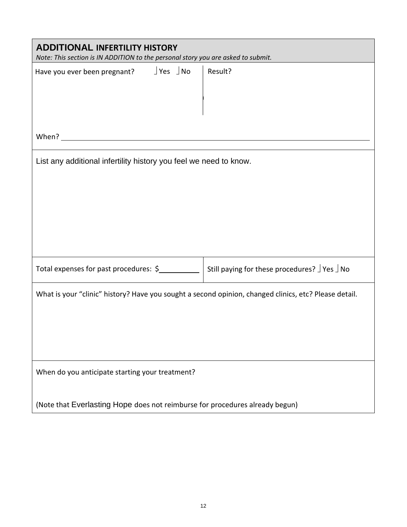| <b>ADDITIONAL INFERTILITY HISTORY</b><br>Note: This section is IN ADDITION to the personal story you are asked to submit. |                                             |  |  |  |
|---------------------------------------------------------------------------------------------------------------------------|---------------------------------------------|--|--|--|
| Have you ever been pregnant? $\Box$ Yes $\Box$ No                                                                         | Result?                                     |  |  |  |
| When? $\qquad \qquad$                                                                                                     |                                             |  |  |  |
| List any additional infertility history you feel we need to know.                                                         |                                             |  |  |  |
| Total expenses for past procedures: \$                                                                                    | Still paying for these procedures? JYes JNo |  |  |  |
| What is your "clinic" history? Have you sought a second opinion, changed clinics, etc? Please detail.                     |                                             |  |  |  |
| When do you anticipate starting your treatment?                                                                           |                                             |  |  |  |
| (Note that Everlasting Hope does not reimburse for procedures already begun)                                              |                                             |  |  |  |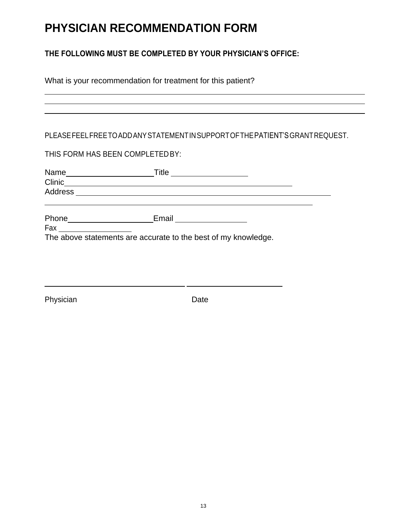# **PHYSICIAN RECOMMENDATION FORM**

#### **THE FOLLOWING MUST BE COMPLETED BY YOUR PHYSICIAN'S OFFICE:**

| What is your recommendation for treatment for this patient? |  |
|-------------------------------------------------------------|--|
|                                                             |  |

#### PLEASEFEELFREETOADDANYSTATEMENTINSUPPORTOFTHEPATIENT'SGRANTREQUEST.

#### THIS FORM HAS BEEN COMPLETEDBY:

| Name   | Title<br><u> 1989 - Jan Barbara Barbara, prima prima prima prima prima prima prima prima prima prima prima prima prima pri</u> |  |
|--------|--------------------------------------------------------------------------------------------------------------------------------|--|
| Clinic |                                                                                                                                |  |
|        |                                                                                                                                |  |
|        |                                                                                                                                |  |
| Phone  | Email                                                                                                                          |  |
| Fax    |                                                                                                                                |  |
|        | The above statements are accurate to the best of my knowledge.                                                                 |  |

Physician Date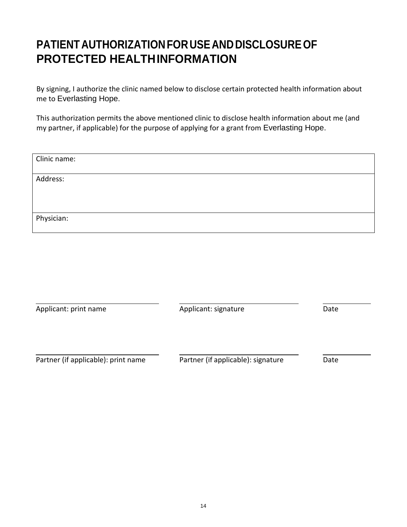# **PATIENT AUTHORIZATIONFORUSEANDDISCLOSUREOF PROTECTED HEALTHINFORMATION**

By signing, I authorize the clinic named below to disclose certain protected health information about me to Everlasting Hope.

This authorization permits the above mentioned clinic to disclose health information about me (and my partner, if applicable) for the purpose of applying for a grant from Everlasting Hope.

| Clinic name: |  |
|--------------|--|
| Address:     |  |
|              |  |
|              |  |
| Physician:   |  |

| Applicant: print name               | Applicant: signature               | Date |
|-------------------------------------|------------------------------------|------|
|                                     |                                    |      |
|                                     |                                    |      |
| Partner (if applicable): print name | Partner (if applicable): signature | Date |